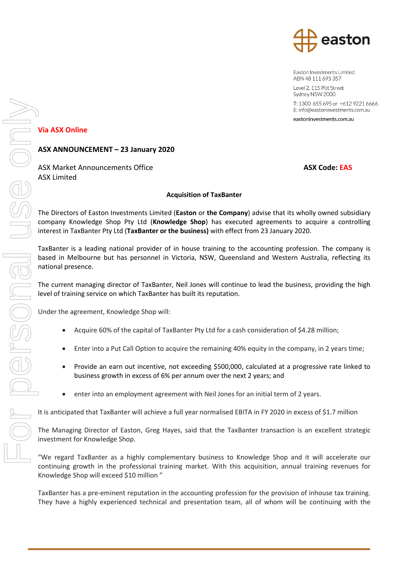

Easton Investments Limited ABN 48 111 695 357

Level 2, 115 Pitt Street Sydney NSW 2000

# **Via ASX Online**

## **ASX ANNOUNCEMENT – 23 January 2020**

ASX Market Announcements Office **ASX Code: EAS** ASX Code: EAS ASX Limited

### **Acquisition of TaxBanter**

The Directors of Easton Investments Limited (**Easton** or **the Company**) advise that its wholly owned subsidiary company Knowledge Shop Pty Ltd (**Knowledge Shop**) has executed agreements to acquire a controlling interest in TaxBanter Pty Ltd (**TaxBanter or the business)** with effect from 23 January 2020.

TaxBanter is a leading national provider of in house training to the accounting profession. The company is based in Melbourne but has personnel in Victoria, NSW, Queensland and Western Australia, reflecting its national presence.

The current managing director of TaxBanter, Neil Jones will continue to lead the business, providing the high level of training service on which TaxBanter has built its reputation.

Under the agreement, Knowledge Shop will:

- Acquire 60% of the capital of TaxBanter Pty Ltd for a cash consideration of \$4.28 million;
- Enter into a Put Call Option to acquire the remaining 40% equity in the company, in 2 years time;
- Provide an earn out incentive, not exceeding \$500,000, calculated at a progressive rate linked to business growth in excess of 6% per annum over the next 2 years; and
- enter into an employment agreement with Neil Jones for an initial term of 2 years.

It is anticipated that TaxBanter will achieve a full year normalised EBITA in FY 2020 in excess of \$1.7 million

The Managing Director of Easton, Greg Hayes, said that the TaxBanter transaction is an excellent strategic investment for Knowledge Shop.

"We regard TaxBanter as a highly complementary business to Knowledge Shop and it will accelerate our continuing growth in the professional training market. With this acquisition, annual training revenues for Knowledge Shop will exceed \$10 million "

TaxBanter has a pre-eminent reputation in the accounting profession for the provision of inhouse tax training.